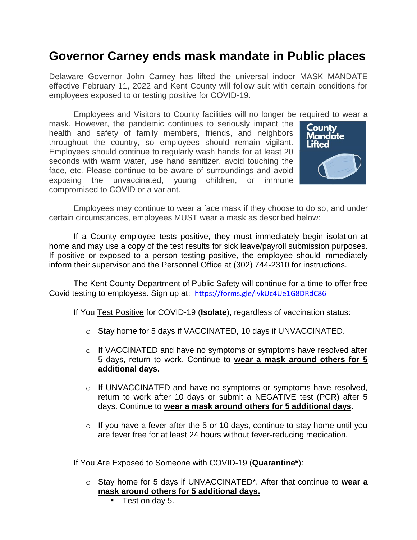## **Governor Carney ends mask mandate in Public places**

Delaware Governor John Carney has lifted the universal indoor MASK MANDATE effective February 11, 2022 and Kent County will follow suit with certain conditions for employees exposed to or testing positive for COVID-19.

Employees and Visitors to County facilities will no longer be required to wear a mask. However, the pandemic continues to seriously impact the health and safety of family members, friends, and neighbors throughout the country, so employees should remain vigilant. Employees should continue to regularly wash hands for at least 20 seconds with warm water, use hand sanitizer, avoid touching the face, etc. Please continue to be aware of surroundings and avoid exposing the unvaccinated, young children, or immune compromised to COVID or a variant.



Employees may continue to wear a face mask if they choose to do so, and under certain circumstances, employees MUST wear a mask as described below:

If a County employee tests positive, they must immediately begin isolation at home and may use a copy of the test results for sick leave/payroll submission purposes. If positive or exposed to a person testing positive, the employee should immediately inform their supervisor and the Personnel Office at (302) 744-2310 for instructions.

The Kent County Department of Public Safety will continue for a time to offer free Covid testing to employess. Sign up at: <https://forms.gle/ivkUc4Ue1G8DRdC86>

If You Test Positive for COVID-19 (**Isolate**), regardless of vaccination status:

- o Stay home for 5 days if VACCINATED, 10 days if UNVACCINATED.
- o If VACCINATED and have no symptoms or symptoms have resolved after 5 days, return to work. Continue to **wear a mask around others for 5 additional days.**
- o If UNVACCINATED and have no symptoms or symptoms have resolved, return to work after 10 days or submit a NEGATIVE test (PCR) after 5 days. Continue to **wear a mask around others for 5 additional days**.
- $\circ$  If you have a fever after the 5 or 10 days, continue to stay home until you are fever free for at least 24 hours without fever-reducing medication.

If You Are Exposed to Someone with COVID-19 (**Quarantine\***):

- o Stay home for 5 days if UNVACCINATED\*. After that continue to **wear a mask around others for 5 additional days.**
	- **Test on day 5.**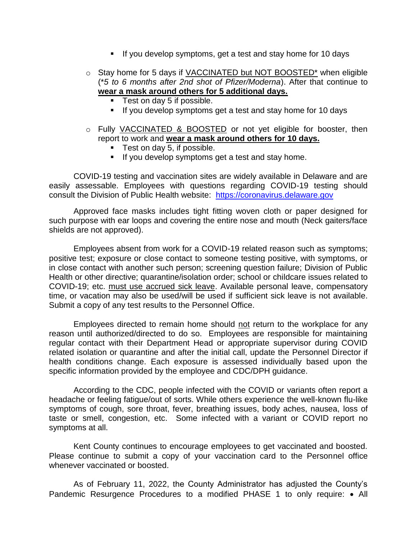- If you develop symptoms, get a test and stay home for 10 days
- $\circ$  Stay home for 5 days if VACCINATED but NOT BOOSTED\* when eligible (\**5 to 6 months after 2nd shot of Pfizer/Moderna*). After that continue to **wear a mask around others for 5 additional days.**
	- **Test on day 5 if possible.**
	- **If you develop symptoms get a test and stay home for 10 days**
- o Fully VACCINATED & BOOSTED or not yet eligible for booster, then report to work and **wear a mask around others for 10 days.**
	- **Test on day 5, if possible.**
	- If you develop symptoms get a test and stay home.

COVID-19 testing and vaccination sites are widely available in Delaware and are easily assessable. Employees with questions regarding COVID-19 testing should consult the Division of Public Health website: [https://coronavirus.delaware.gov](https://coronavirus.delaware.gov/)

Approved face masks includes tight fitting woven cloth or paper designed for such purpose with ear loops and covering the entire nose and mouth (Neck gaiters/face shields are not approved).

Employees absent from work for a COVID-19 related reason such as symptoms; positive test; exposure or close contact to someone testing positive, with symptoms, or in close contact with another such person; screening question failure; Division of Public Health or other directive; quarantine/isolation order; school or childcare issues related to COVID-19; etc. must use accrued sick leave. Available personal leave, compensatory time, or vacation may also be used/will be used if sufficient sick leave is not available. Submit a copy of any test results to the Personnel Office.

Employees directed to remain home should not return to the workplace for any reason until authorized/directed to do so. Employees are responsible for maintaining regular contact with their Department Head or appropriate supervisor during COVID related isolation or quarantine and after the initial call, update the Personnel Director if health conditions change. Each exposure is assessed individually based upon the specific information provided by the employee and CDC/DPH guidance.

According to the CDC, people infected with the COVID or variants often report a headache or feeling fatigue/out of sorts. While others experience the well-known flu-like symptoms of cough, sore throat, fever, breathing issues, body aches, nausea, loss of taste or smell, congestion, etc. Some infected with a variant or COVID report no symptoms at all.

Kent County continues to encourage employees to get vaccinated and boosted. Please continue to submit a copy of your vaccination card to the Personnel office whenever vaccinated or boosted.

As of February 11, 2022, the County Administrator has adjusted the County's Pandemic Resurgence Procedures to a modified PHASE 1 to only require: • All